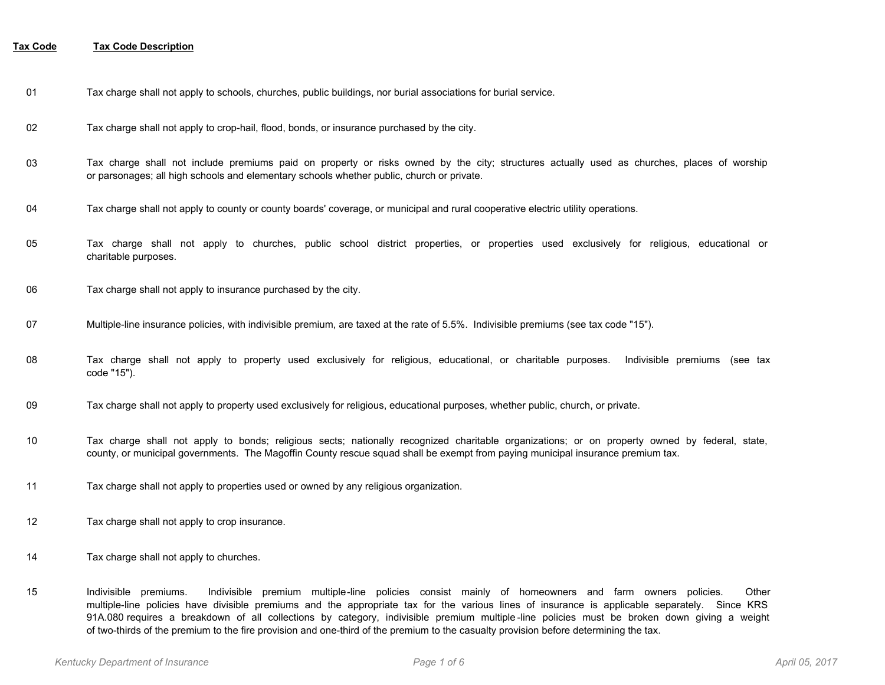- 01 Tax charge shall not apply to schools, churches, public buildings, nor burial associations for burial service.
- 02 Tax charge shall not apply to crop-hail, flood, bonds, or insurance purchased by the city.
- Tax charge shall not include premiums paid on property or risks owned by the city; structures actually used as churches, places of worship or parsonages; all high schools and elementary schools whether public, church or private. 03
- 04 Tax charge shall not apply to county or county boards' coverage, or municipal and rural cooperative electric utility operations.
- Tax charge shall not apply to churches, public school district properties, or properties used exclusively for religious, educational or charitable purposes. 05
- 06 Tax charge shall not apply to insurance purchased by the city.
- 07 Multiple-line insurance policies, with indivisible premium, are taxed at the rate of 5.5%. Indivisible premiums (see tax code "15").
- Tax charge shall not apply to property used exclusively for religious, educational, or charitable purposes. Indivisible premiums (see tax code "15"). 08
- 09 Tax charge shall not apply to property used exclusively for religious, educational purposes, whether public, church, or private.
- Tax charge shall not apply to bonds; religious sects; nationally recognized charitable organizations; or on property owned by federal, state, county, or municipal governments. The Magoffin County rescue squad shall be exempt from paying municipal insurance premium tax. 10
- 11 Tax charge shall not apply to properties used or owned by any religious organization.
- 12 Tax charge shall not apply to crop insurance.
- 14 Tax charge shall not apply to churches.
- Indivisible premiums. Indivisible premium multiple-line policies consist mainly of homeowners and farm owners policies. Other multiple-line policies have divisible premiums and the appropriate tax for the various lines of insurance is applicable separately. Since KRS 91A.080 requires a breakdown of all collections by category, indivisible premium multiple -line policies must be broken down giving a weight of two-thirds of the premium to the fire provision and one-third of the premium to the casualty provision before determining the tax. 15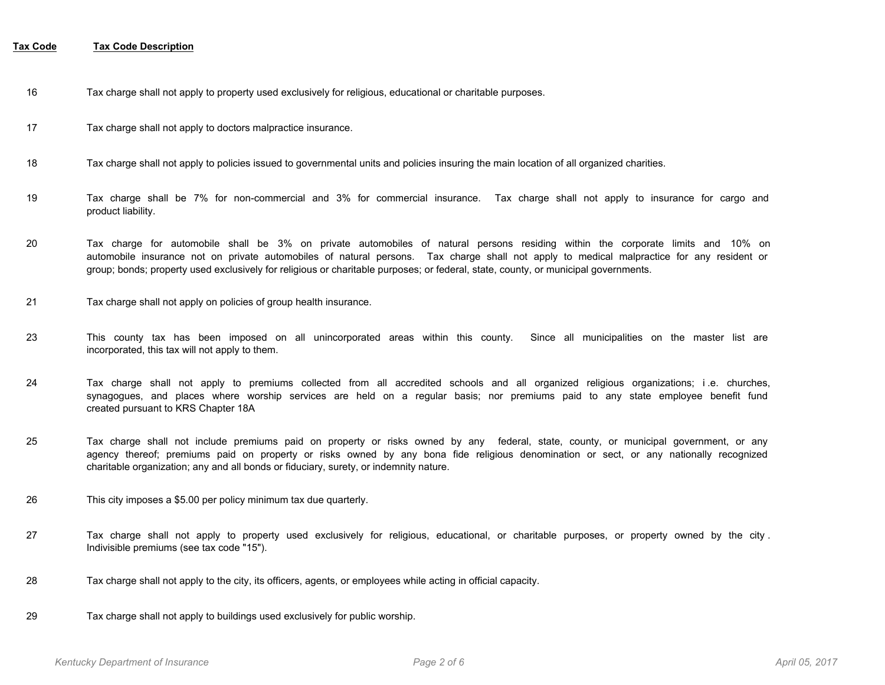- 16 Tax charge shall not apply to property used exclusively for religious, educational or charitable purposes.
- 17 Tax charge shall not apply to doctors malpractice insurance.
- 18 Tax charge shall not apply to policies issued to governmental units and policies insuring the main location of all organized charities.
- Tax charge shall be 7% for non-commercial and 3% for commercial insurance. Tax charge shall not apply to insurance for cargo and product liability. 19
- Tax charge for automobile shall be 3% on private automobiles of natural persons residing within the corporate limits and 10% on automobile insurance not on private automobiles of natural persons. Tax charge shall not apply to medical malpractice for any resident or group; bonds; property used exclusively for religious or charitable purposes; or federal, state, county, or municipal governments. 20
- 21 Tax charge shall not apply on policies of group health insurance.
- This county tax has been imposed on all unincorporated areas within this county. Since all municipalities on the master list are incorporated, this tax will not apply to them. 23
- Tax charge shall not apply to premiums collected from all accredited schools and all organized religious organizations; i .e. churches, synagogues, and places where worship services are held on a regular basis; nor premiums paid to any state employee benefit fund created pursuant to KRS Chapter 18A 24
- Tax charge shall not include premiums paid on property or risks owned by any federal, state, county, or municipal government, or any agency thereof; premiums paid on property or risks owned by any bona fide religious denomination or sect, or any nationally recognized charitable organization; any and all bonds or fiduciary, surety, or indemnity nature. 25
- 26 This city imposes a \$5.00 per policy minimum tax due quarterly.
- Tax charge shall not apply to property used exclusively for religious, educational, or charitable purposes, or property owned by the city . Indivisible premiums (see tax code "15"). 27
- 28 Tax charge shall not apply to the city, its officers, agents, or employees while acting in official capacity.
- 29 Tax charge shall not apply to buildings used exclusively for public worship.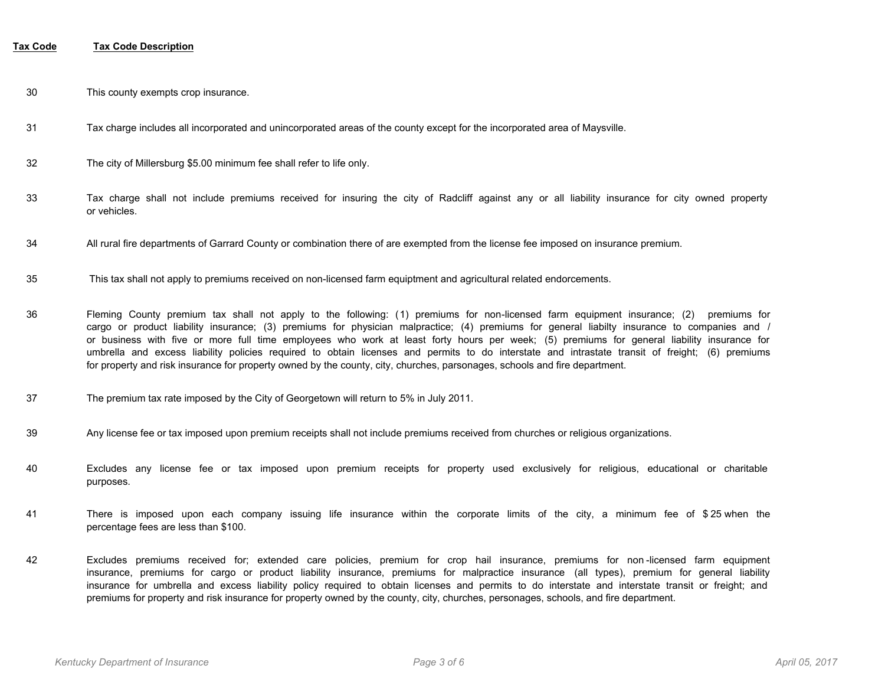- 30 This county exempts crop insurance.
- 31 Tax charge includes all incorporated and unincorporated areas of the county except for the incorporated area of Maysville.
- 32 The city of Millersburg \$5.00 minimum fee shall refer to life only.
- Tax charge shall not include premiums received for insuring the city of Radcliff against any or all liability insurance for city owned property or vehicles. 33
- 34 All rural fire departments of Garrard County or combination there of are exempted from the license fee imposed on insurance premium.
- 35 This tax shall not apply to premiums received on non-licensed farm equiptment and agricultural related endorcements.
- Fleming County premium tax shall not apply to the following: (1) premiums for non-licensed farm equipment insurance; (2) premiums for cargo or product liability insurance; (3) premiums for physician malpractice; (4) premiums for general liabilty insurance to companies and / or business with five or more full time employees who work at least forty hours per week; (5) premiums for general liability insurance for umbrella and excess liability policies required to obtain licenses and permits to do interstate and intrastate transit of freight; (6) premiums for property and risk insurance for property owned by the county, city, churches, parsonages, schools and fire department. 36
- 37 The premium tax rate imposed by the City of Georgetown will return to 5% in July 2011.
- 39 Any license fee or tax imposed upon premium receipts shall not include premiums received from churches or religious organizations.
- Excludes any license fee or tax imposed upon premium receipts for property used exclusively for religious, educational or charitable purposes. 40
- There is imposed upon each company issuing life insurance within the corporate limits of the city, a minimum fee of \$ 25 when the percentage fees are less than \$100. 41
- Excludes premiums received for; extended care policies, premium for crop hail insurance, premiums for non -licensed farm equipment insurance, premiums for cargo or product liability insurance, premiums for malpractice insurance (all types), premium for general liability insurance for umbrella and excess liability policy required to obtain licenses and permits to do interstate and interstate transit or freight; and premiums for property and risk insurance for property owned by the county, city, churches, personages, schools, and fire department. 42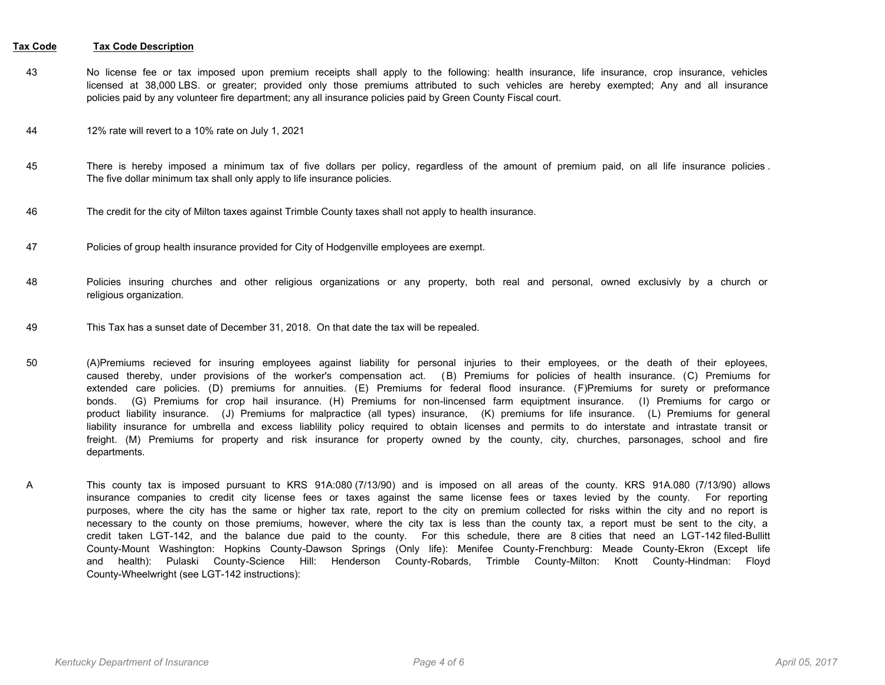- No license fee or tax imposed upon premium receipts shall apply to the following: health insurance, life insurance, crop insurance, vehicles licensed at 38,000 LBS. or greater; provided only those premiums attributed to such vehicles are hereby exempted; Any and all insurance policies paid by any volunteer fire department; any all insurance policies paid by Green County Fiscal court. 43
- 44 12% rate will revert to a 10% rate on July 1, 2021
- There is hereby imposed a minimum tax of five dollars per policy, regardless of the amount of premium paid, on all life insurance policies . The five dollar minimum tax shall only apply to life insurance policies. 45
- 46 The credit for the city of Milton taxes against Trimble County taxes shall not apply to health insurance.
- 47 Policies of group health insurance provided for City of Hodgenville employees are exempt.
- Policies insuring churches and other religious organizations or any property, both real and personal, owned exclusivly by a church or religious organization. 48
- 49 This Tax has a sunset date of December 31, 2018. On that date the tax will be repealed.
- (A)Premiums recieved for insuring employees against liability for personal injuries to their employees, or the death of their eployees, caused thereby, under provisions of the worker's compensation act. (B) Premiums for policies of health insurance. (C) Premiums for extended care policies. (D) premiums for annuities. (E) Premiums for federal flood insurance. (F)Premiums for surety or preformance bonds. (G) Premiums for crop hail insurance. (H) Premiums for non-lincensed farm equiptment insurance. (I) Premiums for cargo or product liability insurance. (J) Premiums for malpractice (all types) insurance, (K) premiums for life insurance. (L) Premiums for general liability insurance for umbrella and excess liablility policy required to obtain licenses and permits to do interstate and intrastate transit or freight. (M) Premiums for property and risk insurance for property owned by the county, city, churches, parsonages, school and fire departments. 50
- This county tax is imposed pursuant to KRS 91A:080 (7/13/90) and is imposed on all areas of the county. KRS 91A.080 (7/13/90) allows insurance companies to credit city license fees or taxes against the same license fees or taxes levied by the county. For reporting purposes, where the city has the same or higher tax rate, report to the city on premium collected for risks within the city and no report is necessary to the county on those premiums, however, where the city tax is less than the county tax, a report must be sent to the city, a credit taken LGT-142, and the balance due paid to the county. For this schedule, there are 8 cities that need an LGT-142 filed-Bullitt County-Mount Washington: Hopkins County-Dawson Springs (Only life): Menifee County-Frenchburg: Meade County-Ekron (Except life and health): Pulaski County-Science Hill: Henderson County-Robards, Trimble County-Milton: Knott County-Hindman: Floyd County-Wheelwright (see LGT-142 instructions): A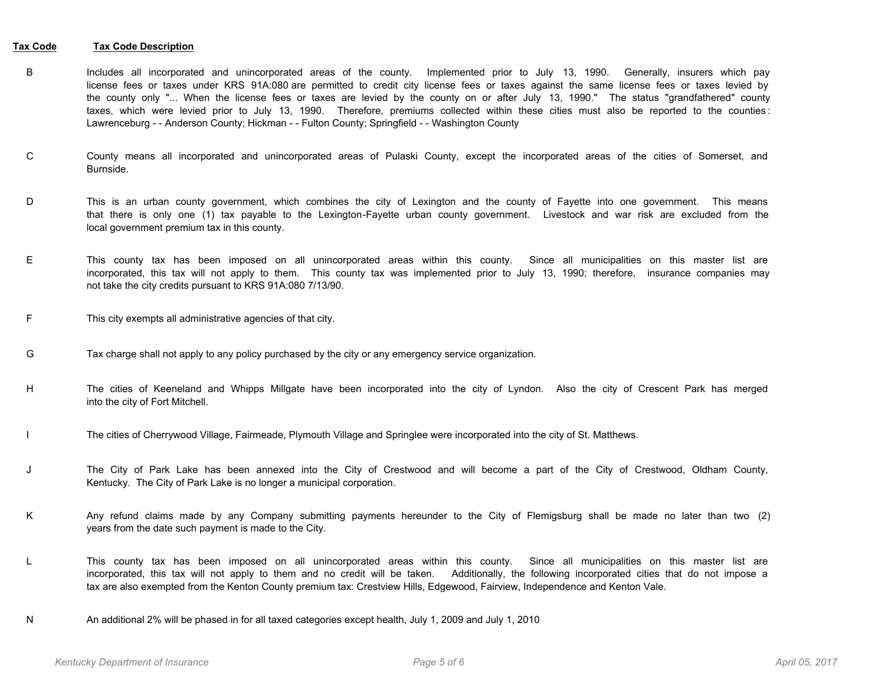- Includes all incorporated and unincorporated areas of the county. Implemented prior to July 13, 1990. Generally, insurers which pay license fees or taxes under KRS 91A:080 are permitted to credit city license fees or taxes against the same license fees or taxes levied by the county only "... When the license fees or taxes are levied by the county on or after July 13, 1990." The status "grandfathered" county taxes, which were levied prior to July 13, 1990. Therefore, premiums collected within these cities must also be reported to the counties : Lawrenceburg - - Anderson County; Hickman - - Fulton County; Springfield - - Washington County B
- County means all incorporated and unincorporated areas of Pulaski County, except the incorporated areas of the cities of Somerset, and Burnside. C
- This is an urban county government, which combines the city of Lexington and the county of Fayette into one government. This means that there is only one (1) tax payable to the Lexington-Fayette urban county government. Livestock and war risk are excluded from the local government premium tax in this county. D
- This county tax has been imposed on all unincorporated areas within this county. Since all municipalities on this master list are incorporated, this tax will not apply to them. This county tax was implemented prior to July 13, 1990; therefore, insurance companies may not take the city credits pursuant to KRS 91A:080 7/13/90. E
- F This city exempts all administrative agencies of that city.
- G Tax charge shall not apply to any policy purchased by the city or any emergency service organization.
- The cities of Keeneland and Whipps Millgate have been incorporated into the city of Lyndon. Also the city of Crescent Park has merged into the city of Fort Mitchell. H
- I The cities of Cherrywood Village, Fairmeade, Plymouth Village and Springlee were incorporated into the city of St. Matthews.
- The City of Park Lake has been annexed into the City of Crestwood and will become a part of the City of Crestwood, Oldham County, Kentucky. The City of Park Lake is no longer a municipal corporation. J
- Any refund claims made by any Company submitting payments hereunder to the City of Flemigsburg shall be made no later than two (2) years from the date such payment is made to the City. K
- This county tax has been imposed on all unincorporated areas within this county. Since all municipalities on this master list are incorporated, this tax will not apply to them and no credit will be taken. Additionally, the following incorporated cities that do not impose a tax are also exempted from the Kenton County premium tax: Crestview Hills, Edgewood, Fairview, Independence and Kenton Vale. L
- N An additional 2% will be phased in for all taxed categories except health, July 1, 2009 and July 1, 2010